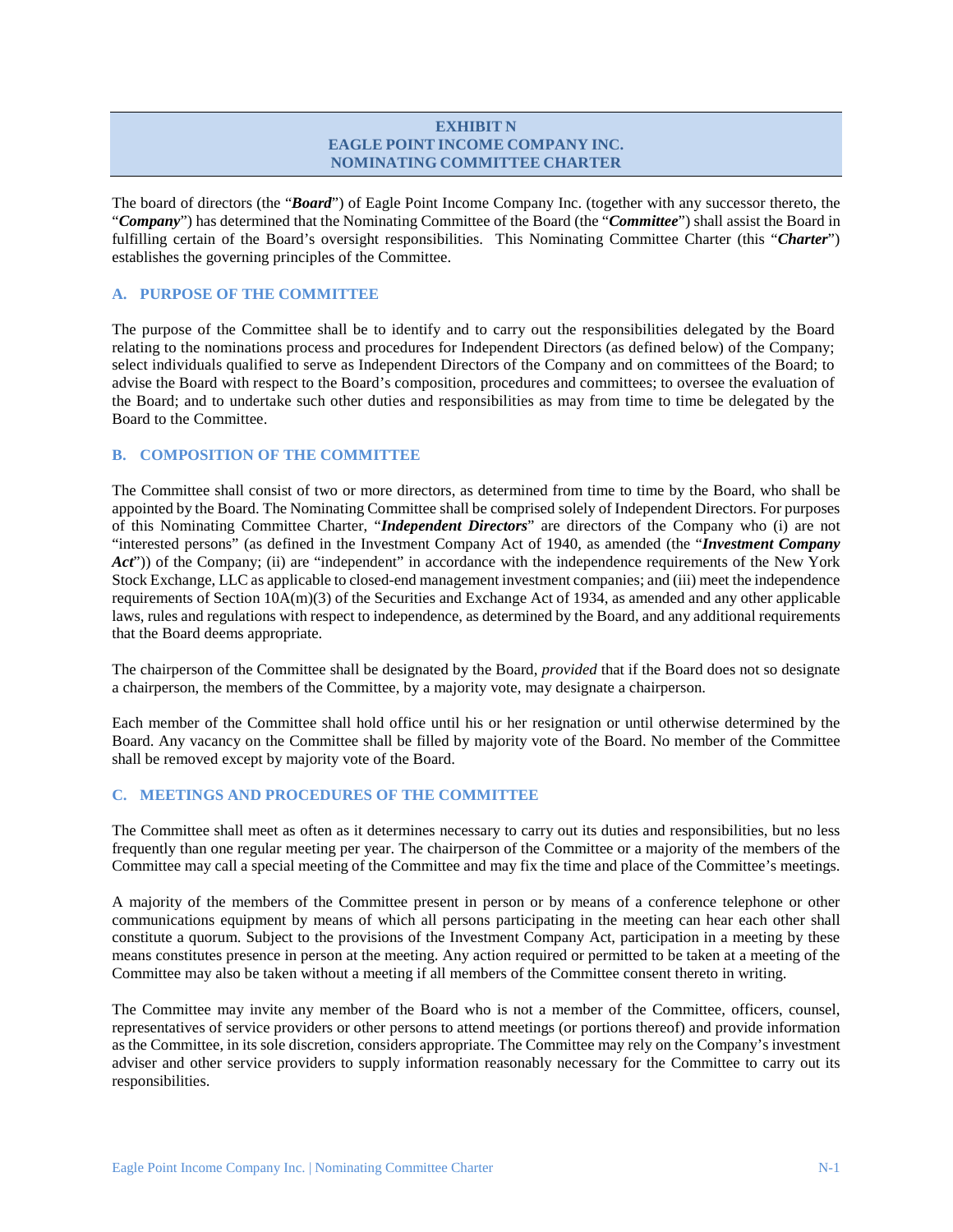### **EXHIBIT N EAGLE POINT INCOME COMPANY INC. NOMINATING COMMITTEE CHARTER**

The board of directors (the "*Board*") of Eagle Point Income Company Inc. (together with any successor thereto, the "*Company*") has determined that the Nominating Committee of the Board (the "*Committee*") shall assist the Board in fulfilling certain of the Board's oversight responsibilities. This Nominating Committee Charter (this "*Charter*") establishes the governing principles of the Committee.

# **A. PURPOSE OF THE COMMITTEE**

The purpose of the Committee shall be to identify and to carry out the responsibilities delegated by the Board relating to the nominations process and procedures for Independent Directors (as defined below) of the Company; select individuals qualified to serve as Independent Directors of the Company and on committees of the Board; to advise the Board with respect to the Board's composition, procedures and committees; to oversee the evaluation of the Board; and to undertake such other duties and responsibilities as may from time to time be delegated by the Board to the Committee.

## **B. COMPOSITION OF THE COMMITTEE**

The Committee shall consist of two or more directors, as determined from time to time by the Board, who shall be appointed by the Board. The Nominating Committee shall be comprised solely of Independent Directors. For purposes of this Nominating Committee Charter, "*Independent Directors*" are directors of the Company who (i) are not "interested persons" (as defined in the Investment Company Act of 1940, as amended (the "*Investment Company Act*")) of the Company; (ii) are "independent" in accordance with the independence requirements of the New York Stock Exchange, LLC as applicable to closed-end management investment companies; and (iii) meet the independence requirements of Section 10A(m)(3) of the Securities and Exchange Act of 1934, as amended and any other applicable laws, rules and regulations with respect to independence, as determined by the Board, and any additional requirements that the Board deems appropriate.

The chairperson of the Committee shall be designated by the Board, *provided* that if the Board does not so designate a chairperson, the members of the Committee, by a majority vote, may designate a chairperson.

Each member of the Committee shall hold office until his or her resignation or until otherwise determined by the Board. Any vacancy on the Committee shall be filled by majority vote of the Board. No member of the Committee shall be removed except by majority vote of the Board.

## **C. MEETINGS AND PROCEDURES OF THE COMMITTEE**

The Committee shall meet as often as it determines necessary to carry out its duties and responsibilities, but no less frequently than one regular meeting per year. The chairperson of the Committee or a majority of the members of the Committee may call a special meeting of the Committee and may fix the time and place of the Committee's meetings.

A majority of the members of the Committee present in person or by means of a conference telephone or other communications equipment by means of which all persons participating in the meeting can hear each other shall constitute a quorum. Subject to the provisions of the Investment Company Act, participation in a meeting by these means constitutes presence in person at the meeting. Any action required or permitted to be taken at a meeting of the Committee may also be taken without a meeting if all members of the Committee consent thereto in writing.

The Committee may invite any member of the Board who is not a member of the Committee, officers, counsel, representatives of service providers or other persons to attend meetings (or portions thereof) and provide information as the Committee, in its sole discretion, considers appropriate. The Committee may rely on the Company's investment adviser and other service providers to supply information reasonably necessary for the Committee to carry out its responsibilities.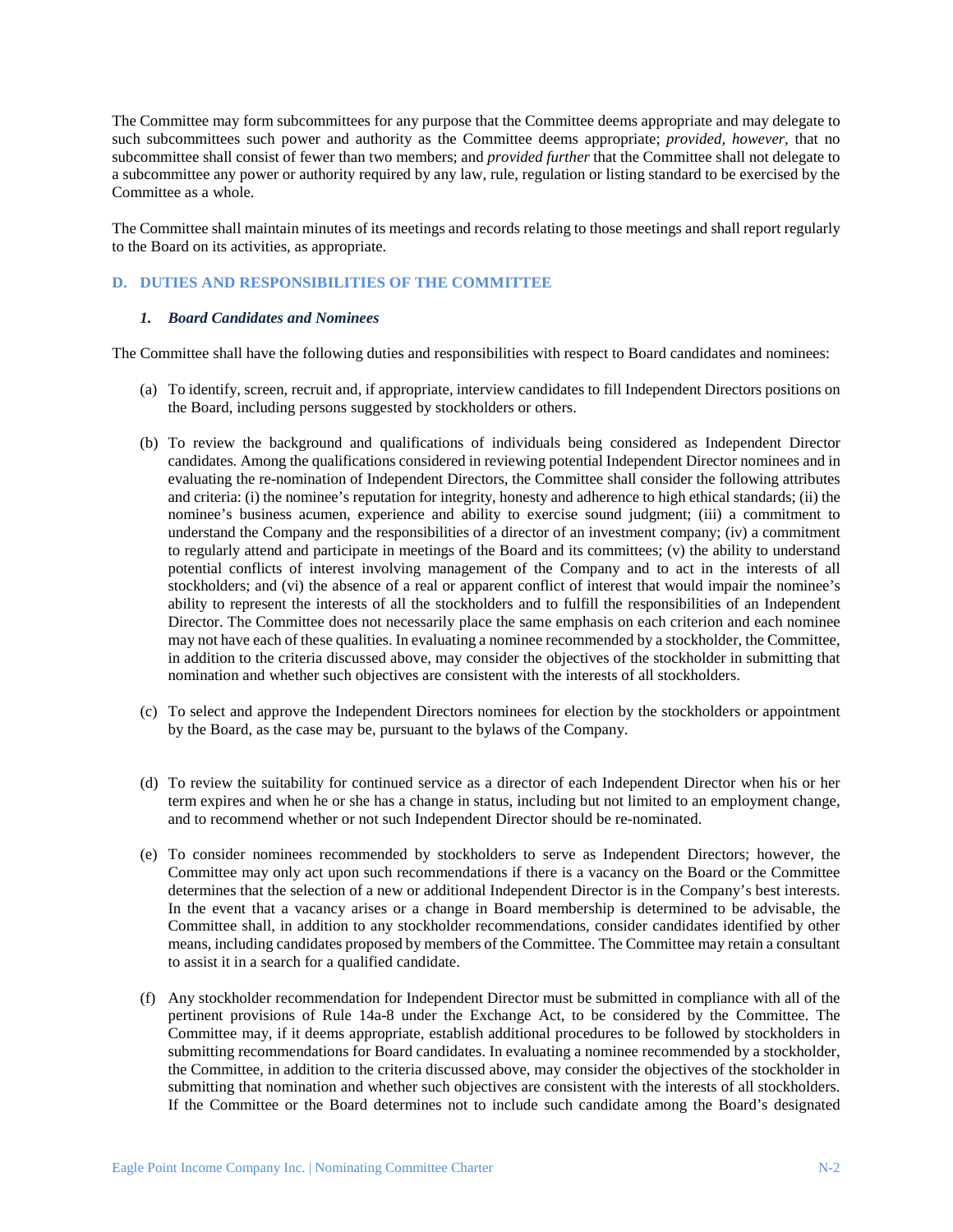The Committee may form subcommittees for any purpose that the Committee deems appropriate and may delegate to such subcommittees such power and authority as the Committee deems appropriate; *provided, however,* that no subcommittee shall consist of fewer than two members; and *provided further* that the Committee shall not delegate to a subcommittee any power or authority required by any law, rule, regulation or listing standard to be exercised by the Committee as a whole.

The Committee shall maintain minutes of its meetings and records relating to those meetings and shall report regularly to the Board on its activities, as appropriate.

## **D. DUTIES AND RESPONSIBILITIES OF THE COMMITTEE**

### *1. Board Candidates and Nominees*

The Committee shall have the following duties and responsibilities with respect to Board candidates and nominees:

- (a) To identify, screen, recruit and, if appropriate, interview candidates to fill Independent Directors positions on the Board, including persons suggested by stockholders or others.
- (b) To review the background and qualifications of individuals being considered as Independent Director candidates. Among the qualifications considered in reviewing potential Independent Director nominees and in evaluating the re-nomination of Independent Directors, the Committee shall consider the following attributes and criteria: (i) the nominee's reputation for integrity, honesty and adherence to high ethical standards; (ii) the nominee's business acumen, experience and ability to exercise sound judgment; (iii) a commitment to understand the Company and the responsibilities of a director of an investment company; (iv) a commitment to regularly attend and participate in meetings of the Board and its committees; (v) the ability to understand potential conflicts of interest involving management of the Company and to act in the interests of all stockholders; and (vi) the absence of a real or apparent conflict of interest that would impair the nominee's ability to represent the interests of all the stockholders and to fulfill the responsibilities of an Independent Director. The Committee does not necessarily place the same emphasis on each criterion and each nominee may not have each of these qualities. In evaluating a nominee recommended by a stockholder, the Committee, in addition to the criteria discussed above, may consider the objectives of the stockholder in submitting that nomination and whether such objectives are consistent with the interests of all stockholders.
- (c) To select and approve the Independent Directors nominees for election by the stockholders or appointment by the Board, as the case may be, pursuant to the bylaws of the Company.
- (d) To review the suitability for continued service as a director of each Independent Director when his or her term expires and when he or she has a change in status, including but not limited to an employment change, and to recommend whether or not such Independent Director should be re-nominated.
- (e) To consider nominees recommended by stockholders to serve as Independent Directors; however, the Committee may only act upon such recommendations if there is a vacancy on the Board or the Committee determines that the selection of a new or additional Independent Director is in the Company's best interests. In the event that a vacancy arises or a change in Board membership is determined to be advisable, the Committee shall, in addition to any stockholder recommendations, consider candidates identified by other means, including candidates proposed by members of the Committee. The Committee may retain a consultant to assist it in a search for a qualified candidate.
- (f) Any stockholder recommendation for Independent Director must be submitted in compliance with all of the pertinent provisions of Rule 14a-8 under the Exchange Act, to be considered by the Committee. The Committee may, if it deems appropriate, establish additional procedures to be followed by stockholders in submitting recommendations for Board candidates. In evaluating a nominee recommended by a stockholder, the Committee, in addition to the criteria discussed above, may consider the objectives of the stockholder in submitting that nomination and whether such objectives are consistent with the interests of all stockholders. If the Committee or the Board determines not to include such candidate among the Board's designated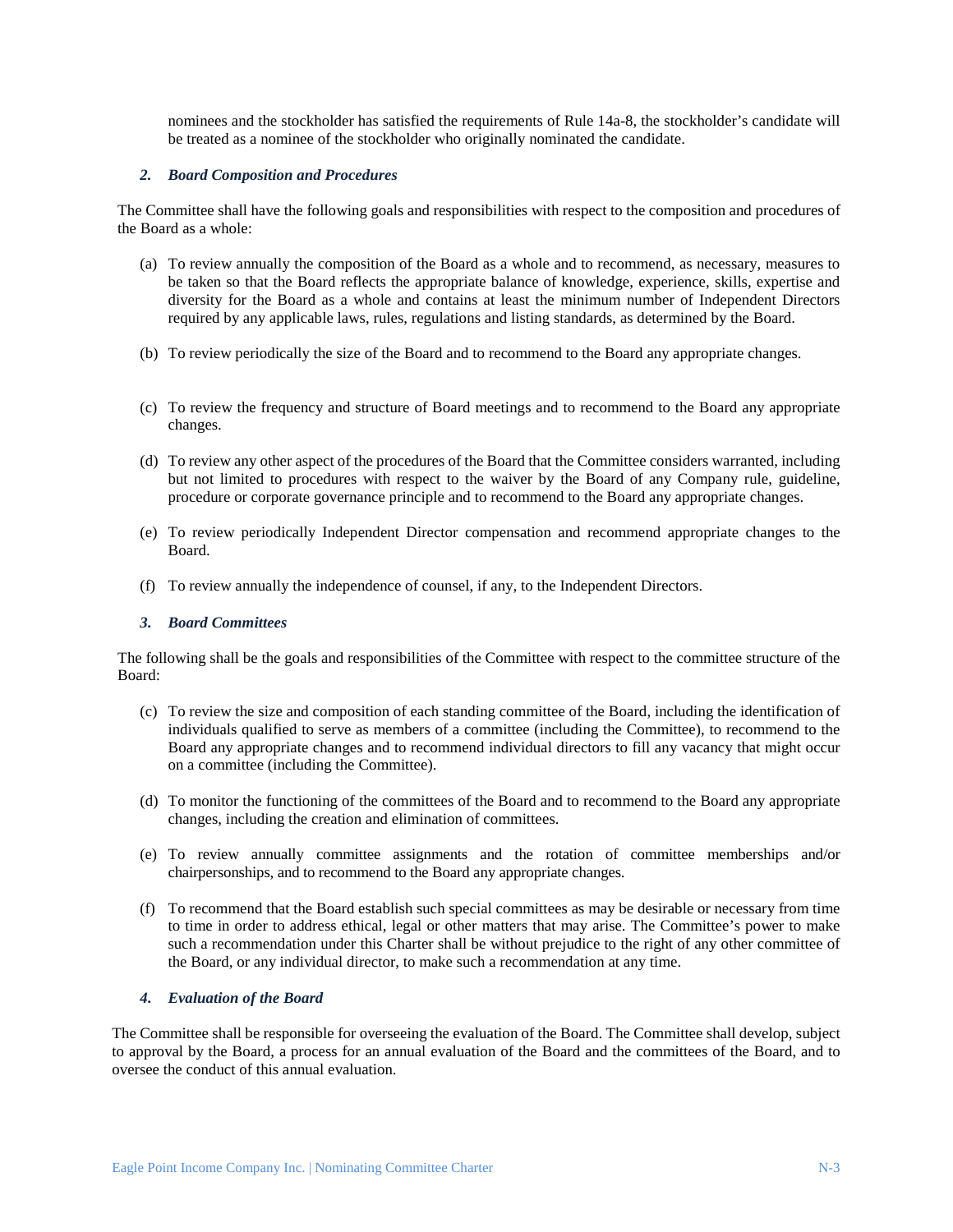nominees and the stockholder has satisfied the requirements of Rule 14a-8, the stockholder's candidate will be treated as a nominee of the stockholder who originally nominated the candidate.

#### *2. Board Composition and Procedures*

The Committee shall have the following goals and responsibilities with respect to the composition and procedures of the Board as a whole:

- (a) To review annually the composition of the Board as a whole and to recommend, as necessary, measures to be taken so that the Board reflects the appropriate balance of knowledge, experience, skills, expertise and diversity for the Board as a whole and contains at least the minimum number of Independent Directors required by any applicable laws, rules, regulations and listing standards, as determined by the Board.
- (b) To review periodically the size of the Board and to recommend to the Board any appropriate changes.
- (c) To review the frequency and structure of Board meetings and to recommend to the Board any appropriate changes.
- (d) To review any other aspect of the procedures of the Board that the Committee considers warranted, including but not limited to procedures with respect to the waiver by the Board of any Company rule, guideline, procedure or corporate governance principle and to recommend to the Board any appropriate changes.
- (e) To review periodically Independent Director compensation and recommend appropriate changes to the Board.
- (f) To review annually the independence of counsel, if any, to the Independent Directors.

### *3. Board Committees*

The following shall be the goals and responsibilities of the Committee with respect to the committee structure of the Board:

- (c) To review the size and composition of each standing committee of the Board, including the identification of individuals qualified to serve as members of a committee (including the Committee), to recommend to the Board any appropriate changes and to recommend individual directors to fill any vacancy that might occur on a committee (including the Committee).
- (d) To monitor the functioning of the committees of the Board and to recommend to the Board any appropriate changes, including the creation and elimination of committees.
- (e) To review annually committee assignments and the rotation of committee memberships and/or chairpersonships, and to recommend to the Board any appropriate changes.
- (f) To recommend that the Board establish such special committees as may be desirable or necessary from time to time in order to address ethical, legal or other matters that may arise. The Committee's power to make such a recommendation under this Charter shall be without prejudice to the right of any other committee of the Board, or any individual director, to make such a recommendation at any time.

### *4. Evaluation of the Board*

The Committee shall be responsible for overseeing the evaluation of the Board. The Committee shall develop, subject to approval by the Board, a process for an annual evaluation of the Board and the committees of the Board, and to oversee the conduct of this annual evaluation.